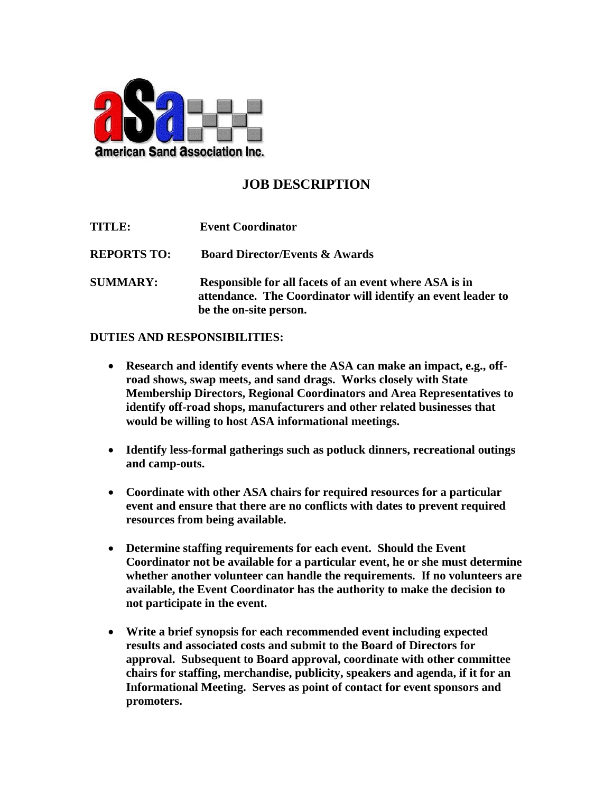

## **JOB DESCRIPTION**

| <b>TITLE:</b>      | <b>Event Coordinator</b>                                                                                                                         |
|--------------------|--------------------------------------------------------------------------------------------------------------------------------------------------|
| <b>REPORTS TO:</b> | <b>Board Director/Events &amp; Awards</b>                                                                                                        |
| <b>SUMMARY:</b>    | Responsible for all facets of an event where ASA is in<br>attendance. The Coordinator will identify an event leader to<br>be the on-site person. |

## **DUTIES AND RESPONSIBILITIES:**

- **Research and identify events where the ASA can make an impact, e.g., offroad shows, swap meets, and sand drags. Works closely with State Membership Directors, Regional Coordinators and Area Representatives to identify off-road shops, manufacturers and other related businesses that would be willing to host ASA informational meetings.**
- **Identify less-formal gatherings such as potluck dinners, recreational outings and camp-outs.**
- **Coordinate with other ASA chairs for required resources for a particular event and ensure that there are no conflicts with dates to prevent required resources from being available.**
- **Determine staffing requirements for each event. Should the Event Coordinator not be available for a particular event, he or she must determine whether another volunteer can handle the requirements. If no volunteers are available, the Event Coordinator has the authority to make the decision to not participate in the event.**
- **Write a brief synopsis for each recommended event including expected results and associated costs and submit to the Board of Directors for approval. Subsequent to Board approval, coordinate with other committee chairs for staffing, merchandise, publicity, speakers and agenda, if it for an Informational Meeting. Serves as point of contact for event sponsors and promoters.**